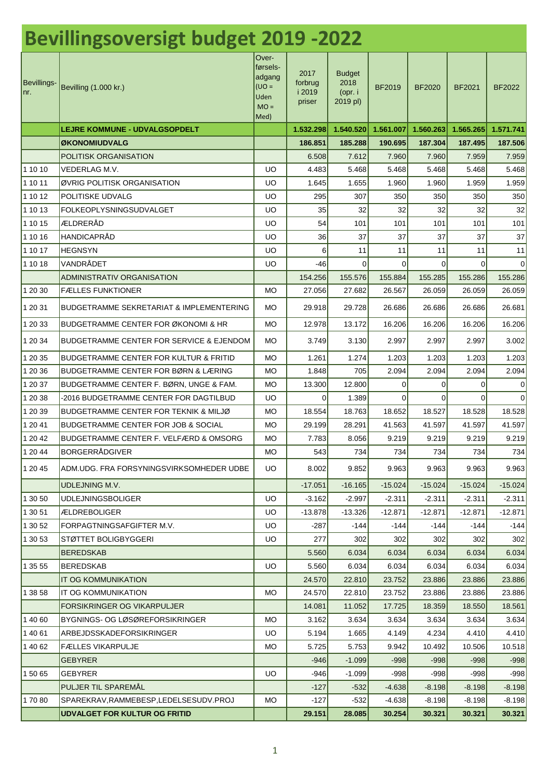| <b>Bevillingsoversigt budget 2019 -2022</b> |                                                                                 |                                                                   |                                     |                                              |                    |                    |                    |                    |
|---------------------------------------------|---------------------------------------------------------------------------------|-------------------------------------------------------------------|-------------------------------------|----------------------------------------------|--------------------|--------------------|--------------------|--------------------|
| Bevillings-<br>Inr.                         | Bevilling (1.000 kr.)                                                           | Over-<br>førsels-<br>adgang<br>$U = 0U$<br>Uden<br>$MO =$<br>Med) | 2017<br>forbrug<br>i 2019<br>priser | <b>Budget</b><br>2018<br>(opr. i<br>2019 pl) | BF2019             | <b>BF2020</b>      | <b>BF2021</b>      | BF2022             |
|                                             | <b>LEJRE KOMMUNE - UDVALGSOPDELT</b>                                            |                                                                   | 1.532.298                           | 1.540.520                                    | 1.561.007          | 1.560.263          | 1.565.265          | 1.571.741          |
|                                             | <b>ØKONOMIUDVALG</b>                                                            |                                                                   | 186.851                             | 185.288                                      | 190.695            | 187.304            | 187.495            | 187.506            |
|                                             | POLITISK ORGANISATION                                                           |                                                                   | 6.508                               | 7.612                                        | 7.960              | 7.960              | 7.959              | 7.959              |
| 1 10 10                                     | VEDERLAG M.V.                                                                   | <b>UO</b>                                                         | 4.483                               | 5.468                                        | 5.468              | 5.468              | 5.468              | 5.468              |
| 1 10 11                                     | ØVRIG POLITISK ORGANISATION                                                     | UO                                                                | 1.645                               | 1.655                                        | 1.960              | 1.960              | 1.959              | 1.959              |
| 1 10 12                                     | POLITISKE UDVALG                                                                | UO                                                                | 295                                 | 307                                          | 350                | 350                | 350                | 350                |
| 1 10 13                                     | <b>FOLKEOPLYSNINGSUDVALGET</b>                                                  | UO                                                                | 35                                  | 32                                           | 32                 | 32                 | 32                 | 32                 |
| 1 10 15                                     | ÆLDRERÅD                                                                        | UO                                                                | 54                                  | 101                                          | 101                | 101                | 101                | 101                |
| 1 10 16                                     | <b>HANDICAPRÅD</b>                                                              | UO                                                                | 36                                  | 37                                           | 37                 | 37                 | 37                 | 37                 |
| 1 10 17                                     | <b>HEGNSYN</b>                                                                  | UO                                                                | 6                                   | 11                                           | 11                 | 11                 | 11                 | 11                 |
| 1 10 18                                     | VANDRÅDET                                                                       | <b>UO</b>                                                         | -46                                 | $\Omega$                                     | $\Omega$           | $\Omega$           | $\Omega$           | $\Omega$           |
|                                             | <b>ADMINISTRATIV ORGANISATION</b>                                               |                                                                   | 154.256                             | 155.576                                      | 155.884            | 155.285            | 155.286            | 155.286            |
| 1 20 30                                     | <b>FÆLLES FUNKTIONER</b>                                                        | MO                                                                | 27.056                              | 27.682                                       | 26.567             | 26.059             | 26.059             | 26.059             |
| 1 20 31                                     | BUDGETRAMME SEKRETARIAT & IMPLEMENTERING                                        | MO                                                                | 29.918                              | 29.728                                       | 26.686             | 26.686             | 26.686             | 26.681             |
| 1 20 33                                     | <b>BUDGETRAMME CENTER FOR ØKONOMI &amp; HR</b>                                  | <b>MO</b>                                                         | 12.978                              | 13.172                                       | 16.206             | 16.206             | 16.206             | 16.206             |
| 1 20 34                                     | <b>BUDGETRAMME CENTER FOR SERVICE &amp; EJENDOM</b>                             | MO                                                                | 3.749                               | 3.130                                        | 2.997              | 2.997              | 2.997              | 3.002              |
| 1 20 35                                     | BUDGETRAMME CENTER FOR KULTUR & FRITID                                          | <b>MO</b>                                                         | 1.261                               | 1.274                                        | 1.203              | 1.203              | 1.203              | 1.203              |
| 1 20 36                                     | BUDGETRAMME CENTER FOR BØRN & LÆRING                                            | MO                                                                | 1.848                               | 705                                          | 2.094              | 2.094              | 2.094              | 2.094              |
| 1 20 37                                     | BUDGETRAMME CENTER F. BØRN, UNGE & FAM.                                         | <b>MO</b>                                                         | 13.300                              | 12.800                                       | 0                  | 0                  | 0                  | 0                  |
| 1 20 38                                     | -2016 BUDGETRAMME CENTER FOR DAGTILBUD                                          | UO                                                                | $\Omega$                            | 1.389                                        | $\Omega$           | $\Omega$           | $\Omega$           | $\Omega$           |
| 1 20 39                                     | <b>BUDGETRAMME CENTER FOR TEKNIK &amp; MILJØ</b>                                | MO                                                                | 18.554                              | 18.763                                       | 18.652             | 18.527             | 18.528             | 18.528             |
| 1 20 41                                     | <b>BUDGETRAMME CENTER FOR JOB &amp; SOCIAL</b>                                  | <b>MO</b>                                                         | 29.199                              | 28.291                                       | 41.563             | 41.597             | 41.597             | 41.597             |
| 1 20 42                                     | <b>BUDGETRAMME CENTER F. VELFÆRD &amp; OMSORG</b>                               | MO.                                                               | 7.783                               | 8.056                                        | 9.219              | 9.219              | 9.219              | 9.219              |
| 1 20 44                                     | <b>BORGERRÅDGIVER</b>                                                           | MO.                                                               | 543                                 | 734                                          | 734                | 734                | 734                | 734                |
| 1 20 45                                     | ADM.UDG. FRA FORSYNINGSVIRKSOMHEDER UDBE                                        | UO.                                                               | 8.002                               | 9.852                                        | 9.963              | 9.963              | 9.963              | 9.963              |
|                                             | UDLEJNING M.V.                                                                  |                                                                   | $-17.051$                           | $-16.165$                                    | $-15.024$          | $-15.024$          | $-15.024$          | $-15.024$          |
| 1 30 50                                     | <b>UDLEJNINGSBOLIGER</b>                                                        | <b>UO</b>                                                         | $-3.162$                            | $-2.997$                                     | $-2.311$           | $-2.311$           | $-2.311$           | $-2.311$           |
| 1 30 51                                     | <b>ÆLDREBOLIGER</b>                                                             | UO                                                                | $-13.878$                           | $-13.326$                                    | $-12.871$          | $-12.871$          | $-12.871$          | $-12.871$          |
| 1 30 52                                     | FORPAGTNINGSAFGIFTER M.V.                                                       | <b>UO</b>                                                         | $-287$                              | $-144$                                       | $-144$             | $-144$             | $-144$             | $-144$             |
| 1 30 53                                     | STØTTET BOLIGBYGGERI                                                            | UO                                                                | 277                                 | 302                                          | 302                | 302                | 302                | 302                |
|                                             | <b>BEREDSKAB</b>                                                                |                                                                   | 5.560                               | 6.034                                        | 6.034              | 6.034              | 6.034              | 6.034              |
| 1 35 55                                     | <b>BEREDSKAB</b>                                                                | <b>UO</b>                                                         | 5.560                               | 6.034                                        | 6.034              | 6.034              | 6.034              | 6.034              |
|                                             | IT OG KOMMUNIKATION                                                             |                                                                   | 24.570                              | 22.810                                       | 23.752             | 23.886             | 23.886             | 23.886             |
| 1 38 58                                     | IT OG KOMMUNIKATION                                                             | <b>MO</b>                                                         | 24.570                              | 22.810                                       | 23.752             | 23.886             | 23.886             | 23.886             |
|                                             | FORSIKRINGER OG VIKARPULJER                                                     |                                                                   | 14.081                              | 11.052                                       | 17.725             | 18.359             | 18.550             | 18.561             |
| 1 40 60                                     | BYGNINGS- OG LØSØREFORSIKRINGER                                                 | MO                                                                | 3.162                               | 3.634                                        | 3.634              | 3.634              | 3.634              | 3.634              |
| 14061                                       | ARBEJDSSKADEFORSIKRINGER                                                        | UO                                                                | 5.194                               | 1.665                                        | 4.149              | 4.234              | 4.410              | 4.410              |
| 1 40 62                                     | <b>FÆLLES VIKARPULJE</b>                                                        | MO.                                                               | 5.725                               | 5.753                                        | 9.942              | 10.492             | 10.506             | 10.518             |
|                                             | <b>GEBYRER</b>                                                                  |                                                                   | $-946$                              | $-1.099$                                     | $-998$             | $-998$             | $-998$             | $-998$             |
| 1 50 65                                     | <b>GEBYRER</b>                                                                  | <b>UO</b>                                                         | $-946$                              | $-1.099$                                     | $-998$             | $-998$             | $-998$             | $-998$             |
|                                             | PULJER TIL SPAREMÅL                                                             |                                                                   | $-127$                              | $-532$                                       | $-4.638$           | $-8.198$           | $-8.198$           | $-8.198$           |
| 1 70 80                                     | SPAREKRAV, RAMMEBESP, LEDELSESUDV. PROJ<br><b>UDVALGET FOR KULTUR OG FRITID</b> | MO.                                                               | $-127$<br>29.151                    | $-532$<br>28.085                             | $-4.638$<br>30.254 | $-8.198$<br>30.321 | $-8.198$<br>30.321 | $-8.198$<br>30.321 |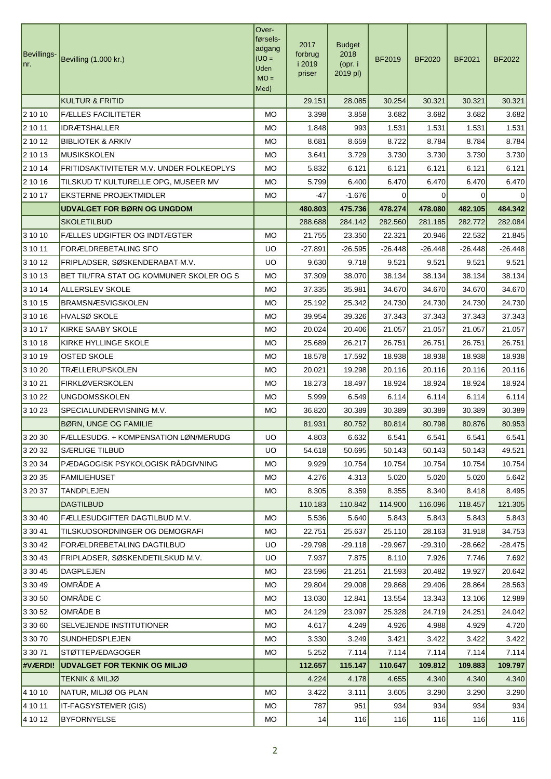| Bevillings-<br>nr. | Bevilling (1.000 kr.)                    | Over-<br>førsels-<br>adgang<br>$=$ OU)<br>Uden<br>$MO =$<br>Med) | 2017<br>forbrug<br>i 2019<br>priser | <b>Budget</b><br>2018<br>(opr. i<br>2019 pl) | <b>BF2019</b> | <b>BF2020</b> | <b>BF2021</b> | <b>BF2022</b> |
|--------------------|------------------------------------------|------------------------------------------------------------------|-------------------------------------|----------------------------------------------|---------------|---------------|---------------|---------------|
|                    | <b>KULTUR &amp; FRITID</b>               |                                                                  | 29.151                              | 28.085                                       | 30.254        | 30.321        | 30.321        | 30.321        |
| 2 10 10            | <b>FÆLLES FACILITETER</b>                | МO                                                               | 3.398                               | 3.858                                        | 3.682         | 3.682         | 3.682         | 3.682         |
| 2 10 11            | <b>IDRÆTSHALLER</b>                      | <b>MO</b>                                                        | 1.848                               | 993                                          | 1.531         | 1.531         | 1.531         | 1.531         |
| 2 10 12            | <b>BIBLIOTEK &amp; ARKIV</b>             | <b>MO</b>                                                        | 8.681                               | 8.659                                        | 8.722         | 8.784         | 8.784         | 8.784         |
| 2 10 13            | <b>MUSIKSKOLEN</b>                       | <b>MO</b>                                                        | 3.641                               | 3.729                                        | 3.730         | 3.730         | 3.730         | 3.730         |
| 2 10 14            | FRITIDSAKTIVITETER M.V. UNDER FOLKEOPLYS | <b>MO</b>                                                        | 5.832                               | 6.121                                        | 6.121         | 6.121         | 6.121         | 6.121         |
| 2 10 16            | TILSKUD T/ KULTURELLE OPG, MUSEER MV     | МO                                                               | 5.799                               | 6.400                                        | 6.470         | 6.470         | 6.470         | 6.470         |
| 2 10 17            | <b>EKSTERNE PROJEKTMIDLER</b>            | <b>MO</b>                                                        | -47                                 | $-1.676$                                     | $\Omega$      | 0             | 0             | $\Omega$      |
|                    | <b>UDVALGET FOR BØRN OG UNGDOM</b>       |                                                                  | 480.803                             | 475.736                                      | 478.274       | 478.080       | 482.105       | 484.342       |
|                    | <b>SKOLETILBUD</b>                       |                                                                  | 288.688                             | 284.142                                      | 282.560       | 281.185       | 282.772       | 282.084       |
| 3 10 10            | FÆLLES UDGIFTER OG INDTÆGTER             | МO                                                               | 21.755                              | 23.350                                       | 22.321        | 20.946        | 22.532        | 21.845        |
| 3 10 11            | FORÆLDREBETALING SFO                     | <b>UO</b>                                                        | $-27.891$                           | -26.595                                      | $-26.448$     | $-26.448$     | $-26.448$     | $-26.448$     |
| 3 10 12            | FRIPLADSER, SØSKENDERABAT M.V.           | <b>UO</b>                                                        | 9.630                               | 9.718                                        | 9.521         | 9.521         | 9.521         | 9.521         |
| 3 10 13            | BET TIL/FRA STAT OG KOMMUNER SKOLER OG S | МO                                                               | 37.309                              | 38.070                                       | 38.134        | 38.134        | 38.134        | 38.134        |
| 3 10 14            | <b>ALLERSLEV SKOLE</b>                   | <b>MO</b>                                                        | 37.335                              | 35.981                                       | 34.670        | 34.670        | 34.670        | 34.670        |
| 3 10 15            | <b>BRAMSNÆSVIGSKOLEN</b>                 | <b>MO</b>                                                        | 25.192                              | 25.342                                       | 24.730        | 24.730        | 24.730        | 24.730        |
| 3 10 16            | <b>HVALSØ SKOLE</b>                      | МO                                                               | 39.954                              | 39.326                                       | 37.343        | 37.343        | 37.343        | 37.343        |
| 3 10 17            | KIRKE SAABY SKOLE                        | <b>MO</b>                                                        | 20.024                              | 20.406                                       | 21.057        | 21.057        | 21.057        | 21.057        |
| 3 10 18            | KIRKE HYLLINGE SKOLE                     | <b>MO</b>                                                        | 25.689                              | 26.217                                       | 26.751        | 26.751        | 26.751        | 26.751        |
| 3 10 19            | OSTED SKOLE                              | МO                                                               | 18.578                              | 17.592                                       | 18.938        | 18.938        | 18.938        | 18.938        |
| 3 10 20            | TRÆLLERUPSKOLEN                          | МO                                                               | 20.021                              | 19.298                                       | 20.116        | 20.116        | 20.116        | 20.116        |
| 3 10 21            | <b>FIRKLØVERSKOLEN</b>                   | <b>MO</b>                                                        | 18.273                              | 18.497                                       | 18.924        | 18.924        | 18.924        | 18.924        |
| 3 10 22            | UNGDOMSSKOLEN                            | <b>MO</b>                                                        | 5.999                               | 6.549                                        | 6.114         | 6.114         | 6.114         | 6.114         |
| 3 10 23            | SPECIALUNDERVISNING M.V.                 | МO                                                               | 36.820                              | 30.389                                       | 30.389        | 30.389        | 30.389        | 30.389        |
|                    | <b>BØRN, UNGE OG FAMILIE</b>             |                                                                  | 81.931                              | 80.752                                       | 80.814        | 80.798        | 80.876        | 80.953        |
| 3 20 30            | FÆLLESUDG. + KOMPENSATION LØN/MERUDG     | UO                                                               | 4.803                               | 6.632                                        | 6.541         | 6.541         | 6.541         | 6.541         |
| 3 20 32            | <b>SÆRLIGE TILBUD</b>                    | <b>UO</b>                                                        | 54.618                              | 50.695                                       | 50.143        | 50.143        | 50.143        | 49.521        |
| 3 20 34            | PÆDAGOGISK PSYKOLOGISK RÅDGIVNING        | MO.                                                              | 9.929                               | 10.754                                       | 10.754        | 10.754        | 10.754        | 10.754        |
| 3 20 35            | <b>FAMILIEHUSET</b>                      | <b>MO</b>                                                        | 4.276                               | 4.313                                        | 5.020         | 5.020         | 5.020         | 5.642         |
| 3 20 37            | TANDPLEJEN                               | MO.                                                              | 8.305                               | 8.359                                        | 8.355         | 8.340         | 8.418         | 8.495         |
|                    | <b>DAGTILBUD</b>                         |                                                                  | 110.183                             | 110.842                                      | 114.900       | 116.096       | 118.457       | 121.305       |
| 3 30 40            | FÆLLESUDGIFTER DAGTILBUD M.V.            | <b>MO</b>                                                        | 5.536                               | 5.640                                        | 5.843         | 5.843         | 5.843         | 5.843         |
| 3 30 41            | TILSKUDSORDNINGER OG DEMOGRAFI           | МO                                                               | 22.751                              | 25.637                                       | 25.110        | 28.163        | 31.918        | 34.753        |
| 3 30 42            | FORÆLDREBETALING DAGTILBUD               | <b>UO</b>                                                        | $-29.798$                           | $-29.118$                                    | $-29.967$     | $-29.310$     | $-28.662$     | -28.475       |
| 3 30 43            | FRIPLADSER, SØSKENDETILSKUD M.V.         | <b>UO</b>                                                        | 7.937                               | 7.875                                        | 8.110         | 7.926         | 7.746         | 7.692         |
| 3 30 45            | <b>DAGPLEJEN</b>                         | <b>MO</b>                                                        | 23.596                              | 21.251                                       | 21.593        | 20.482        | 19.927        | 20.642        |
| 3 30 49            | OMRÅDE A                                 | <b>MO</b>                                                        | 29.804                              | 29.008                                       | 29.868        | 29.406        | 28.864        | 28.563        |
| 3 30 50            | OMRÅDE C                                 | МO                                                               | 13.030                              | 12.841                                       | 13.554        | 13.343        | 13.106        | 12.989        |
| 3 30 52            | OMRÅDE B                                 | МO                                                               | 24.129                              | 23.097                                       | 25.328        | 24.719        | 24.251        | 24.042        |
| 3 30 60            | SELVEJENDE INSTITUTIONER                 | <b>MO</b>                                                        | 4.617                               | 4.249                                        | 4.926         | 4.988         | 4.929         | 4.720         |
| 3 30 70            | SUNDHEDSPLEJEN                           | MO                                                               | 3.330                               | 3.249                                        | 3.421         | 3.422         | 3.422         | 3.422         |
| 3 30 71            | STØTTEPÆDAGOGER                          | MO.                                                              | 5.252                               | 7.114                                        | 7.114         | 7.114         | 7.114         | 7.114         |
| #VÆRDI!            | <b>UDVALGET FOR TEKNIK OG MILJØ</b>      |                                                                  | 112.657                             | 115.147                                      | 110.647       | 109.812       | 109.883       | 109.797       |
|                    | <b>TEKNIK &amp; MILJØ</b>                |                                                                  | 4.224                               | 4.178                                        | 4.655         | 4.340         | 4.340         | 4.340         |
| 4 10 10            | NATUR, MILJØ OG PLAN                     | МO                                                               | 3.422                               | 3.111                                        | 3.605         | 3.290         | 3.290         | 3.290         |
| 4 10 11            | IT-FAGSYSTEMER (GIS)                     | MO.                                                              | 787                                 | 951                                          | 934           | 934           | 934           | 934           |
| 4 10 12            | <b>BYFORNYELSE</b>                       | <b>MO</b>                                                        | 14                                  | 116                                          | 116           | 116           | 116           | 116           |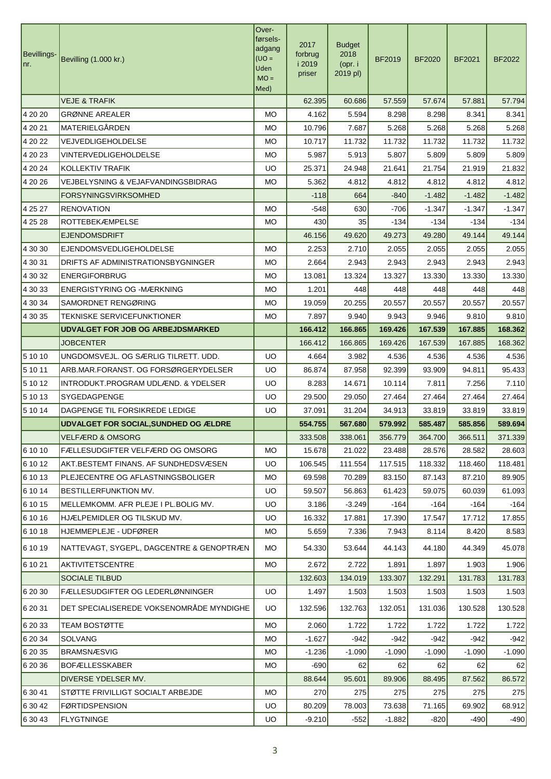| Bevillings-<br>Inr. | Bevilling (1.000 kr.)                        | Over-<br>førsels-<br>adgang<br>$U = 0U$<br>Uden<br>$MO =$<br>Med) | 2017<br>forbrug<br>i 2019<br>priser | <b>Budget</b><br>2018<br>(opr. i<br>2019 pl) | <b>BF2019</b> | <b>BF2020</b> | <b>BF2021</b> | <b>BF2022</b> |
|---------------------|----------------------------------------------|-------------------------------------------------------------------|-------------------------------------|----------------------------------------------|---------------|---------------|---------------|---------------|
|                     | <b>VEJE &amp; TRAFIK</b>                     |                                                                   | 62.395                              | 60.686                                       | 57.559        | 57.674        | 57.881        | 57.794        |
| 4 20 20             | <b>GRØNNE AREALER</b>                        | <b>MO</b>                                                         | 4.162                               | 5.594                                        | 8.298         | 8.298         | 8.341         | 8.341         |
| 4 20 21             | MATERIELGÅRDEN                               | <b>MO</b>                                                         | 10.796                              | 7.687                                        | 5.268         | 5.268         | 5.268         | 5.268         |
| 4 20 22             | VEJVEDLIGEHOLDELSE                           | <b>MO</b>                                                         | 10.717                              | 11.732                                       | 11.732        | 11.732        | 11.732        | 11.732        |
| 4 20 23             | <b>VINTERVEDLIGEHOLDELSE</b>                 | <b>MO</b>                                                         | 5.987                               | 5.913                                        | 5.807         | 5.809         | 5.809         | 5.809         |
| 4 20 24             | KOLLEKTIV TRAFIK                             | <b>UO</b>                                                         | 25.371                              | 24.948                                       | 21.641        | 21.754        | 21.919        | 21.832        |
| 4 20 26             | VEJBELYSNING & VEJAFVANDINGSBIDRAG           | <b>MO</b>                                                         | 5.362                               | 4.812                                        | 4.812         | 4.812         | 4.812         | 4.812         |
|                     | FORSYNINGSVIRKSOMHED                         |                                                                   | $-118$                              | 664                                          | $-840$        | $-1.482$      | $-1.482$      | $-1.482$      |
| 4 25 27             | <b>RENOVATION</b>                            | <b>MO</b>                                                         | $-548$                              | 630                                          | $-706$        | $-1.347$      | $-1.347$      | $-1.347$      |
| 4 25 28             | <b>ROTTEBEKÆMPELSE</b>                       | МO                                                                | 430                                 | 35                                           | $-134$        | $-134$        | $-134$        | $-134$        |
|                     | <b>EJENDOMSDRIFT</b>                         |                                                                   | 46.156                              | 49.620                                       | 49.273        | 49.280        | 49.144        | 49.144        |
| 4 30 30             | <b>EJENDOMSVEDLIGEHOLDELSE</b>               | <b>MO</b>                                                         | 2.253                               | 2.710                                        | 2.055         | 2.055         | 2.055         | 2.055         |
| 4 30 31             | DRIFTS AF ADMINISTRATIONSBYGNINGER           | <b>MO</b>                                                         | 2.664                               | 2.943                                        | 2.943         | 2.943         | 2.943         | 2.943         |
| 4 30 32             | <b>ENERGIFORBRUG</b>                         | МO                                                                | 13.081                              | 13.324                                       | 13.327        | 13.330        | 13.330        | 13.330        |
| 4 30 33             | <b>ENERGISTYRING OG -MÆRKNING</b>            | <b>MO</b>                                                         | 1.201                               | 448                                          | 448           | 448           | 448           | 448           |
| 4 30 34             | SAMORDNET RENGØRING                          | <b>MO</b>                                                         | 19.059                              | 20.255                                       | 20.557        | 20.557        | 20.557        | 20.557        |
| 4 30 35             | TEKNISKE SERVICEFUNKTIONER                   | <b>MO</b>                                                         | 7.897                               | 9.940                                        | 9.943         | 9.946         | 9.810         | 9.810         |
|                     | <b>UDVALGET FOR JOB OG ARBEJDSMARKED</b>     |                                                                   | 166.412                             | 166.865                                      | 169.426       | 167.539       | 167.885       | 168.362       |
|                     | <b>JOBCENTER</b>                             |                                                                   | 166.412                             | 166.865                                      | 169.426       | 167.539       | 167.885       | 168.362       |
| 5 10 10             | UNGDOMSVEJL. OG SÆRLIG TILRETT. UDD.         | <b>UO</b>                                                         | 4.664                               | 3.982                                        | 4.536         | 4.536         | 4.536         | 4.536         |
| 5 10 11             | ARB.MAR.FORANST. OG FORSØRGERYDELSER         | <b>UO</b>                                                         | 86.874                              | 87.958                                       | 92.399        | 93.909        | 94.811        | 95.433        |
| 5 10 12             | INTRODUKT.PROGRAM UDLÆND. & YDELSER          | <b>UO</b>                                                         | 8.283                               | 14.671                                       | 10.114        | 7.811         | 7.256         | 7.110         |
| 5 10 13             | <b>SYGEDAGPENGE</b>                          | <b>UO</b>                                                         | 29.500                              | 29.050                                       | 27.464        | 27.464        | 27.464        | 27.464        |
| 5 10 14             | DAGPENGE TIL FORSIKREDE LEDIGE               | <b>UO</b>                                                         | 37.091                              | 31.204                                       | 34.913        | 33.819        | 33.819        | 33.819        |
|                     | <b>UDVALGET FOR SOCIAL, SUNDHED OG ÆLDRE</b> |                                                                   | 554.755                             | 567.680                                      | 579.992       | 585.487       | 585.856       | 589.694       |
|                     | <b>VELFÆRD &amp; OMSORG</b>                  |                                                                   | 333.508                             | 338.061                                      | 356.779       | 364.700       | 366.511       | 371.339       |
| 6 10 10             | FÆLLESUDGIFTER VELFÆRD OG OMSORG             | МO                                                                | 15.678                              | 21.022                                       | 23.488        | 28.576        | 28.582        | 28.603        |
| 6 10 12             | AKT.BESTEMT FINANS. AF SUNDHEDSVÆSEN         | UO.                                                               | 106.545                             | 111.554                                      | 117.515       | 118.332       | 118.460       | 118.481       |
| 6 10 13             | PLEJECENTRE OG AFLASTNINGSBOLIGER            | МO                                                                | 69.598                              | 70.289                                       | 83.150        | 87.143        | 87.210        | 89.905        |
| 6 10 14             | BESTILLERFUNKTION MV.                        | <b>UO</b>                                                         | 59.507                              | 56.863                                       | 61.423        | 59.075        | 60.039        | 61.093        |
| 6 10 15             | MELLEMKOMM. AFR PLEJE I PL.BOLIG MV.         | UO.                                                               | 3.186                               | $-3.249$                                     | $-164$        | $-164$        | $-164$        | $-164$        |
| 6 10 16             | HJÆLPEMIDLER OG TILSKUD MV.                  | UO.                                                               | 16.332                              | 17.881                                       | 17.390        | 17.547        | 17.712        | 17.855        |
| 6 10 18             | HJEMMEPLEJE - UDFØRER                        | MO.                                                               | 5.659                               | 7.336                                        | 7.943         | 8.114         | 8.420         | 8.583         |
| 6 10 19             | NATTEVAGT, SYGEPL, DAGCENTRE & GENOPTRÆN     | МO                                                                | 54.330                              | 53.644                                       | 44.143        | 44.180        | 44.349        | 45.078        |
| 6 10 21             | AKTIVITETSCENTRE                             | МO                                                                | 2.672                               | 2.722                                        | 1.891         | 1.897         | 1.903         | 1.906         |
|                     | <b>SOCIALE TILBUD</b>                        |                                                                   | 132.603                             | 134.019                                      | 133.307       | 132.291       | 131.783       | 131.783       |
| 6 20 30             | FÆLLESUDGIFTER OG LEDERLØNNINGER             | <b>UO</b>                                                         | 1.497                               | 1.503                                        | 1.503         | 1.503         | 1.503         | 1.503         |
| 6 20 31             | DET SPECIALISEREDE VOKSENOMRÅDE MYNDIGHE     | UO.                                                               | 132.596                             | 132.763                                      | 132.051       | 131.036       | 130.528       | 130.528       |
| 6 20 33             | <b>TEAM BOSTØTTE</b>                         | МO                                                                | 2.060                               | 1.722                                        | 1.722         | 1.722         | 1.722         | 1.722         |
| 6 20 34             | <b>SOLVANG</b>                               | MO.                                                               | $-1.627$                            | $-942$                                       | $-942$        | $-942$        | $-942$        | $-942$        |
| 6 20 35             | <b>BRAMSNÆSVIG</b>                           | MO.                                                               | $-1.236$                            | $-1.090$                                     | $-1.090$      | $-1.090$      | $-1.090$      | $-1.090$      |
| 6 20 36             | <b>BOFÆLLESSKABER</b>                        | MO.                                                               | $-690$                              | 62                                           | 62            | 62            | 62            | 62            |
|                     | DIVERSE YDELSER MV.                          |                                                                   | 88.644                              | 95.601                                       | 89.906        | 88.495        | 87.562        | 86.572        |
| 6 30 41             | STØTTE FRIVILLIGT SOCIALT ARBEJDE            | МO                                                                | 270                                 | 275                                          | 275           | 275           | 275           | 275           |
| 6 30 42             | <b>FØRTIDSPENSION</b>                        | <b>UO</b>                                                         | 80.209                              | 78.003                                       | 73.638        | 71.165        | 69.902        | 68.912        |
| 6 30 43             | <b>FLYGTNINGE</b>                            | <b>UO</b>                                                         | $-9.210$                            | $-552$                                       | $-1.882$      | $-820$        | $-490$        | $-490$        |